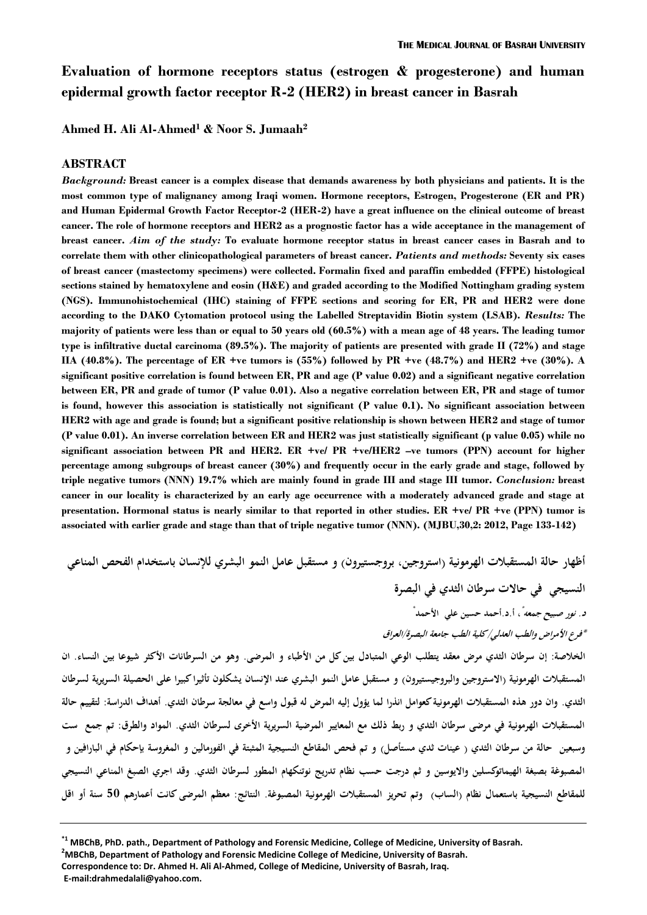# **Evaluation of hormone receptors status (estrogen & progesterone) and human epidermal growth factor receptor R-2 (HER2) in breast cancer in Basrah**

**Ahmed H. Ali Al-Ahmed<sup>1</sup> & Noor S. Jumaah<sup>2</sup>**

#### **ABSTRACT**

*Background:* **Breast cancer is a complex disease that demands awareness by both physicians and patients. It is the most common type of malignancy among Iraqi women. Hormone receptors, Estrogen, Progesterone (ER and PR) and Human Epidermal Growth Factor Receptor-2 (HER-2) have a great influence on the clinical outcome of breast cancer. The role of hormone receptors and HER2 as a prognostic factor has a wide acceptance in the management of breast cancer.** *Aim of the study:* **To evaluate hormone receptor status in breast cancer cases in Basrah and to correlate them with other clinicopathological parameters of breast cancer.** *Patients and methods:* **Seventy six cases of breast cancer (mastectomy specimens) were collected. Formalin fixed and paraffin embedded (FFPE) histological sections stained by hematoxylene and eosin (H&E) and graded according to the Modified Nottingham grading system (NGS). Immunohistochemical (IHC) staining of FFPE sections and scoring for ER, PR and HER2 were done according to the DAKO Cytomation protocol using the Labelled Streptavidin Biotin system (LSAB).** *Results:* **The majority of patients were less than or equal to 50 years old (60.5%) with a mean age of 48 years. The leading tumor type is infiltrative ductal carcinoma (89.5%). The majority of patients are presented with grade II (72%) and stage IIA (40.8%). The percentage of ER +ve tumors is (55%) followed by PR +ve (48.7%) and HER2 +ve (30%). A significant positive correlation is found between ER, PR and age (P value 0.02) and a significant negative correlation between ER, PR and grade of tumor (P value 0.01). Also a negative correlation between ER, PR and stage of tumor is found, however this association is statistically not significant (P value 0.1). No significant association between HER2 with age and grade is found; but a significant positive relationship is shown between HER2 and stage of tumor (P value 0.01). An inverse correlation between ER and HER2 was just statistically significant (p value 0.05) while no significant association between PR and HER2. ER +ve/ PR +ve/HER2 –ve tumors (PPN) account for higher percentage among subgroups of breast cancer (30%) and frequently occur in the early grade and stage, followed by triple negative tumors (NNN) 19.7% which are mainly found in grade III and stage III tumor.** *Conclusion:* **breast cancer in our locality is characterized by an early age occurrence with a moderately advanced grade and stage at presentation. Hormonal status is nearly similar to that reported in other studies. ER +ve/ PR +ve (PPN) tumor is associated with earlier grade and stage than that of triple negative tumor (NNN). (MJBU,30,2: 2012, Page 133-142)**

**أظهار حالة المستقبلات الهرمونية (استروجين، بروجستيرون) و مستقبل عامل النمو البشري للإنسان باستخدام الفحص المناعي النسيجي في حالات سرطان الثدي في البصرة ، أ.د.أحمد حسين علي الأحمد** *\* د. نور صبيح جمعه* **\*** *\*فرع الأمراض والطب العدلي/كلية الطب جامعة البصرة/العراق* **الخلاصة: إن سرطان الثدي مرض معقد يتطلب الوعي المتبادل بين كل من الأطباء و المرضى. وهو من السرطانات الأكثر شيوعا بين النساء. ان** 

**المستقبلات الهرمونية (الاستروجين والبروجيستيرون) و مستقبل عامل النمو البشري عند الإنسان يشكلون تأثيرا كبيرا على الحصيلة السريرية لسرطان الثدي. وان دور هذه المستقبلات الهرمونية كعوامل انذرا لما يؤول إليه المرض له قبول واسع في معالجة سرطان الثدي. أهداف الدراسة: لتقييم حالة المستقبلات الهرمونية في مرضى سرطان الثدي و ربط ذلك مع المعايير المرضية السريرية الأخرى لسرطان الثدي. المواد و الطرق: تم جمع ست وسبعين حالة من سرطان الثدي ( عينات ثدي مستأصل) و تم فحص المقاطع النسيجية المثبتة في الفورمالين و المغروسة بإحكام في البارافين و المصبوغة بصبغة الهيماتوكسلين والايوسين و ثم درجت حسب نظام تدريج نوتنكهام المطور لسرطان الثدي. وقد اجري الصبغ المناعي النسيجي للمقاطع النسيجية باستعمال نظام (الساب) و تم تحريز المستقبلات الهرمونية المصبوغة. النتائج: معظم المرضى كانت أعمارهم 50 سنة أو اقل** 

 $^{*1}$  MBChB, PhD. path., Department of Pathology and Forensic Medicine, College of Medicine, University of Basrah.<br><sup>2</sup>MBChB, Department of Pathology and Forensic Medicine College of Medicine, University of Basrah. **Correspondence to: Dr. Ahmed H. Ali Al-Ahmed, College of Medicine, University of Basrah, Iraq. E-mail:drahmedalali@yahoo.com.**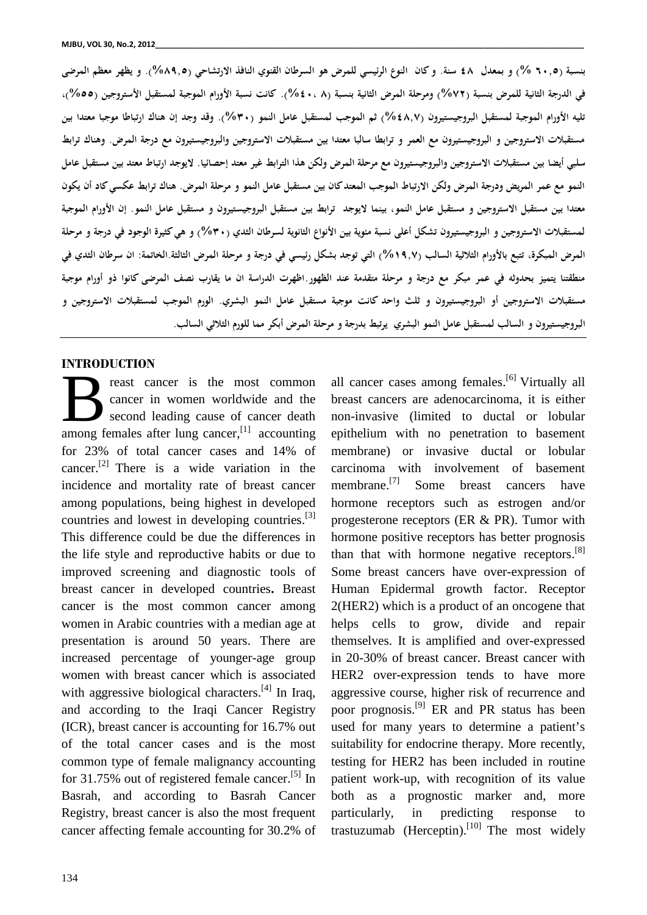**بنسبة (٦٠,٥ %) و بمعدل ٤٨ سنة. و كان النوع الرئيسي للمرض هو السرطان القنوي النافذ الارتشاحي (%٨٩,٥). و يظهر معظم المرضى في الدرجة الثانية للمرض بنسبة (%٧٢) و مرحلة المرض الثانية بنسبة (٨ %٤٠،). كانت نسبة الأورام الموجبة لمستقبل الأستروجين (%٥٥)، تليه الأورام الموجبة لمستقبل البروجيستيرون (%٤٨,٧) ثم الموجب لمستقبل عامل النمو (%٣٠). وقد وجد إن هناك ارتباطا موجبا معتدا بين مستقبلات الاستروجين و البروجيستيرون مع العمر و ترابطا سالبا معتدا بين مستقبلات الاستروجين والبروجيستيرون مع درجة المرض. وهناك ترابط سلبي أيضا بين مستقبلات الاستروجين والبروجيستيرون مع مرحلة المرض ولكن هذا الترابط غير معتد إحصائيا. لايوجد ارتباط معتد بين مستقبل عامل النمو مع عمر المريض ودرجة المرض ولكن الارتباط الموجب المعتد كان بين مستقبل عامل النمو و مرحلة المرض. هناك ترابط عكسي كاد أن يكون معتدا بين مستقبل الاستروجين و مستقبل عامل النمو، بينما لايوجد ترابط بين مستقبل البروجيستيرون و مستقبل عامل النمو. إن الأورام الموجبة لمستقبلات الاستروجين و البروجيستيرون تشكل أعلى نسبة مئوية بين الأنواع الثانوية لسرطان الثدي (%٣٠) و هي كثيرة الوجود في درجة و مرحلة المرض المبكرة، تتبع بالأورام الثلاثية السالب (%١٩,٧) التي توجد بشكل رئيسي في درجة و مرحلة المرض الثالثة.الخاتمة: ان سرطان الثدي في منطقتنا يتميز بحدوثه في عمر مبكر مع درجة و مرحلة متقدمة عند الظهور.اظهرت الدراسة ان ما يقارب نصف المرضى كانوا ذو أورام موجبة مستقبلات الاستروجين أو البروجيستيرون و ثلث واحد كانت موجبة مستقبل عامل النمو البشري. الورم الموجب لمستقبلات الاستروجين و البروجيستيرون و السالب لمستقبل عامل النمو البشري يرتبط بدرجة و مرحلة المرض أبكر مما للورم الثلاثي السالب.**

### **INTRODUCTION**

reast cancer is the most common cancer in women worldwide and the second leading cause of cancer death **among** females after lung cancer,<sup>[1]</sup> accounting epithe for 23% of total cancer cases and 14% of cancer.<sup>[2]</sup> There is a wide variation in the carci incidence and mortality rate of breast cancer among populations, being highest in developed countries and lowest in developing countries. $\begin{bmatrix} 3 \end{bmatrix}$  p This difference could be due the differences in the life style and reproductive habits or due to improved screening and diagnostic tools of breast cancer in developed countries**.** Breast cancer is the most common cancer among women in Arabic countries with a median age at presentation is around 50 years. There are increased percentage of younger-age group women with breast cancer which is associated with aggressive biological characters.<sup>[4]</sup> In Iraq, ag and according to the Iraqi Cancer Registry (ICR), breast cancer is accounting for 16.7% out of the total cancer cases and is the most common type of female malignancy accounting for 31.75% out of registered female cancer.<sup>[5]</sup> In Basrah, and according to Basrah Cancer Registry, breast cancer is also the most frequent cancer affecting female accounting for 30.2% of

<sup>[5]</sup> In patient work-up, with recognition of its value all cancer cases among females.<sup>[6]</sup> Virtually all breast cancers are adenocarcinoma, it is either non-invasive (limited to ductal or lobular epithelium with no penetration to basement membrane) or invasive ductal or lobular carcinoma with involvement of basement membrane.<sup>[7]</sup> Some breast cancers have hormone receptors such as estrogen and/or progesterone receptors (ER & PR). Tumor with hormone positive receptors has better prognosis than that with hormone negative receptors.<sup>[8]</sup> Some breast cancers have over-expression of Human Epidermal growth factor. Receptor 2(HER2) which is a product of an oncogene that helps cells to grow, divide and repair themselves. It is amplified and over-expressed in 20-30% of breast cancer. Breast cancer with HER2 over-expression tends to have more aggressive course, higher risk of recurrence and poor prognosis.<sup>[9]</sup> ER and PR status has been used for many years to determine a patient's suitability for endocrine therapy. More recently, testing for HER2 has been included in routine both as a prognostic marker and, more particularly, in predicting response to trastuzumab (Herceptin).<sup>[10]</sup> The most widely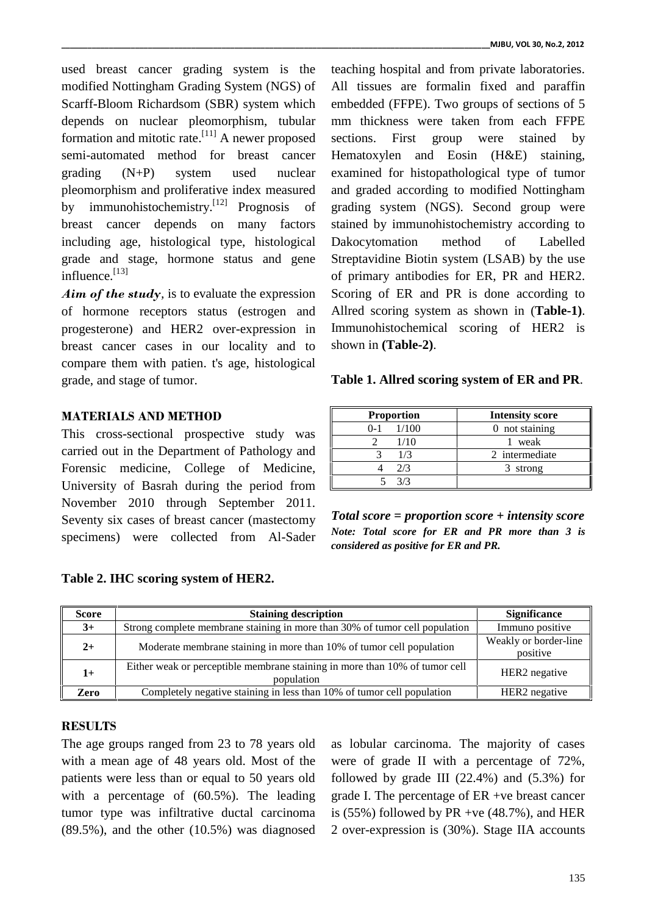used breast cancer grading system is the modified Nottingham Grading System (NGS) of Scarff-Bloom Richardsom (SBR) system which depends on nuclear pleomorphism, tubular formation and mitotic rate.<sup>[11]</sup> A newer proposed section semi-automated method for breast cancer grading (N+P) system used nuclear pleomorphism and proliferative index measured by immunohistochemistry.<sup>[12]</sup> Prognosis of gra breast cancer depends on many factors including age, histological type, histological grade and stage, hormone status and gene influence. [13]

*Aim of the study,* is to evaluate the expression of hormone receptors status (estrogen and progesterone) and HER2 over-expression in breast cancer cases in our locality and to compare them with patien. t's age, histological grade, and stage of tumor.

# **MATERIALS AND METHOD**

This cross-sectional prospective study was carried out in the Department of Pathology and Forensic medicine, College of Medicine, University of Basrah during the period from November 2010 through September 2011. Seventy six cases of breast cancer (mastectomy specimens) were collected from Al-Sader

**Table 2. IHC scoring system of HER2.**

teaching hospital and from private laboratories. All tissues are formalin fixed and paraffin embedded (FFPE). Two groups of sections of 5 mm thickness were taken from each FFPE sections. First group were stained by Hematoxylen and Eosin (H&E) staining, examined for histopathological type of tumor and graded according to modified Nottingham grading system (NGS). Second group were stained by immunohistochemistry according to Dakocytomation method of Labelled Streptavidine Biotin system (LSAB) by the use of primary antibodies for ER, PR and HER2. Scoring of ER and PR is done according to Allred scoring system as shown in (**Table-1)**. Immunohistochemical scoring of HER2 is shown in **(Table-2)**.

| <b>Proportion</b> | <b>Intensity score</b> |
|-------------------|------------------------|
| 1/100<br>$0 - 1$  | 0 not staining         |
| 1/10              | weak                   |
| 1/3               | 2 intermediate         |
| 2/3               | strong                 |
| 3/3               |                        |

*Total score = proportion score + intensity score Note: Total score for ER and PR more than 3 is considered as positive for ER and PR.*

| <b>Score</b> | <b>Staining description</b>                                                               | <b>Significance</b>               |
|--------------|-------------------------------------------------------------------------------------------|-----------------------------------|
| $3+$         | Strong complete membrane staining in more than 30% of tumor cell population               | Immuno positive                   |
| $2+$         | Moderate membrane staining in more than 10% of tumor cell population                      | Weakly or border-line<br>positive |
| l +          | Either weak or perceptible membrane staining in more than 10% of tumor cell<br>population | HER2 negative                     |
| Zero         | Completely negative staining in less than 10% of tumor cell population                    | HER <sub>2</sub> negative         |

### **RESULTS**

The age groups ranged from 23 to 78 years old with a mean age of 48 years old. Most of the patients were less than or equal to 50 years old with a percentage of (60.5%). The leading tumor type was infiltrative ductal carcinoma (89.5%), and the other (10.5%) was diagnosed

as lobular carcinoma. The majority of cases were of grade II with a percentage of 72%, followed by grade III  $(22.4\%)$  and  $(5.3\%)$  for grade I. The percentage of ER +ve breast cancer is (55%) followed by PR +ve  $(48.7\%)$ , and HER 2 over-expression is (30%). Stage IIA accounts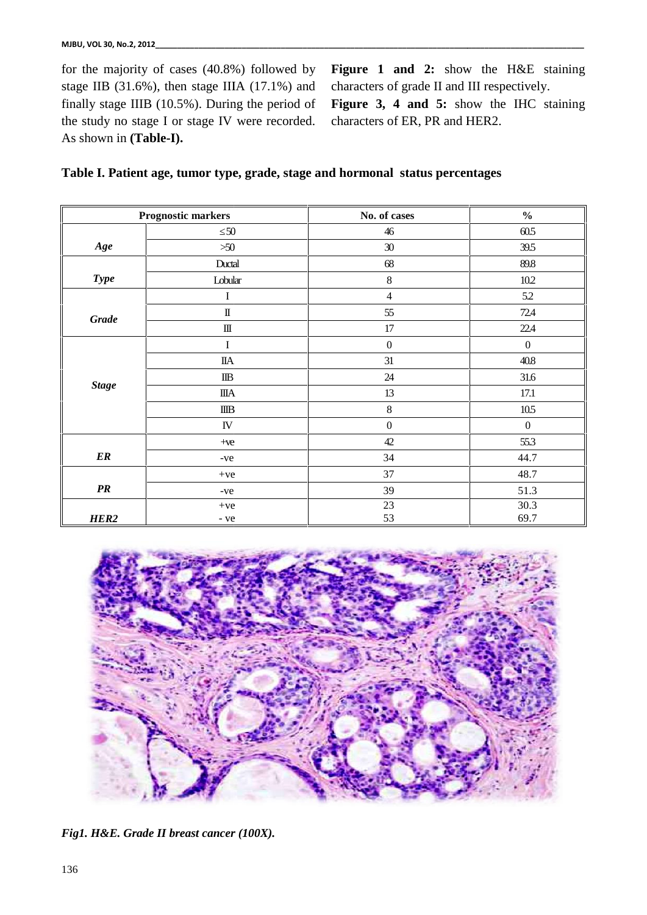for the majority of cases (40.8%) followed by stage IIB (31.6%), then stage IIIA (17.1%) and finally stage IIIB (10.5%). During the period of the study no stage I or stage IV were recorded. As shown in **(Table-I).** ajority of cases (40.8%) followed by Figure 1 and 2: show the H&E staining (31.6%), then stage IIIA (17.1%) and characters of grade II and III respectively.<br>ge IIIB (10.5%). During the period of Figure 3, 4 and 5: show the

**Figure 1 and 2:** show the H&E staining characters of grade II and III respectively.

**Figure 3, 4 and 5:** show the IHC staining characters of ER, PR and HER2.

|  |  | Table I. Patient age, tumor type, grade, stage and hormonal status percentages |  |
|--|--|--------------------------------------------------------------------------------|--|
|--|--|--------------------------------------------------------------------------------|--|

|                        | stage IIB $(31.6\%)$ , then stage IIIA $(17.1\%)$ and                                                   | characters of grade II and III respectively.                                   |                  |
|------------------------|---------------------------------------------------------------------------------------------------------|--------------------------------------------------------------------------------|------------------|
|                        | finally stage IIIB $(10.5\%)$ . During the period of<br>the study no stage I or stage IV were recorded. | Figure 3, 4 and 5: show the IHC staining<br>characters of ER, PR and HER2.     |                  |
| As shown in (Table-I). |                                                                                                         |                                                                                |                  |
|                        |                                                                                                         |                                                                                |                  |
|                        |                                                                                                         | Table I. Patient age, tumor type, grade, stage and hormonal status percentages |                  |
|                        |                                                                                                         |                                                                                |                  |
|                        | <b>Prognostic markers</b>                                                                               | No. of cases                                                                   | $\frac{0}{0}$    |
|                        | 50                                                                                                      | 46                                                                             | 60.5             |
| Age                    | $>50$                                                                                                   | 30                                                                             | 39.5             |
|                        | Ductal                                                                                                  | 68                                                                             | 89.8             |
| <b>Type</b>            | Lobular                                                                                                 | 8                                                                              | 10.2             |
|                        | I                                                                                                       | $\overline{4}$                                                                 | 5.2              |
| <b>Grade</b>           | $\mathbb{I}$                                                                                            | 55                                                                             | 72.4             |
|                        | Ш                                                                                                       | 17                                                                             | 22.4             |
|                        | I                                                                                                       | $\boldsymbol{0}$                                                               | $\boldsymbol{0}$ |
|                        | <b>IIA</b>                                                                                              | 31                                                                             | 40.8             |
|                        | $_{\text{IIB}}$                                                                                         | 24                                                                             | 31.6             |
| <b>Stage</b>           | ШA                                                                                                      | 13                                                                             | 17.1             |
|                        | IIIB                                                                                                    | 8                                                                              | 10.5             |
|                        | IV                                                                                                      | $\boldsymbol{0}$                                                               | $\boldsymbol{0}$ |
|                        | $+ve$                                                                                                   | 42                                                                             | 55.3             |
| $E_{R}$                | -ve                                                                                                     | 34                                                                             | 44.7             |
|                        | $+ve$                                                                                                   | 37                                                                             | 48.7             |
| PR                     | -ve                                                                                                     | 39                                                                             | 51.3             |
|                        | $+ve$                                                                                                   | 23                                                                             | 30.3             |
| HER <sub>2</sub>       | - ve                                                                                                    | 53                                                                             | 69.7             |



*Fig1. H&E. Grade II breast cancer (100X).*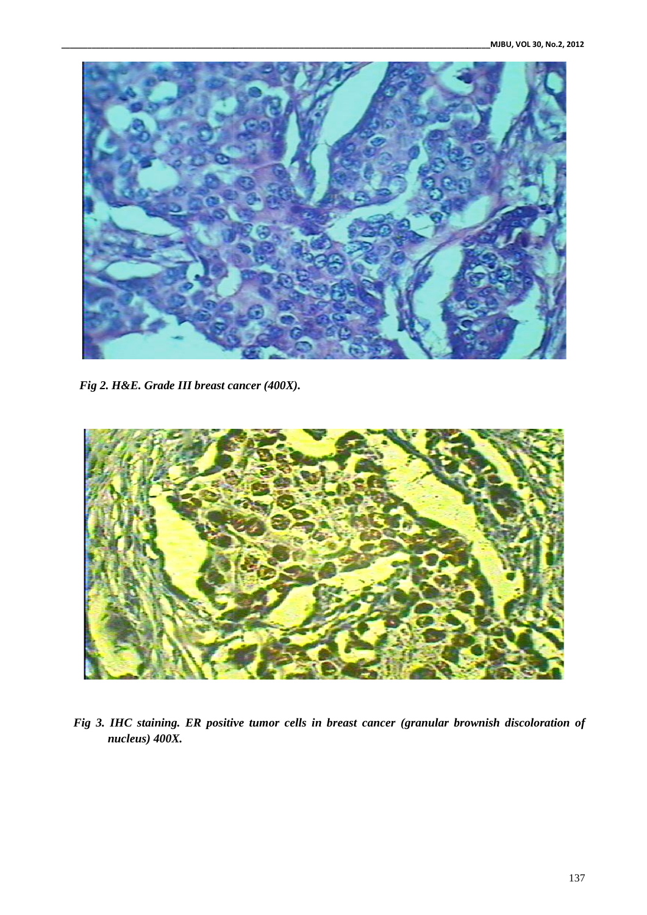

*Fig 2. H&E. Grade III breast cancer (400X).*



*Fig 3. IHC staining. ER positive tumor cells in breast cancer (granular brownish discoloration of nucleus) 400X.*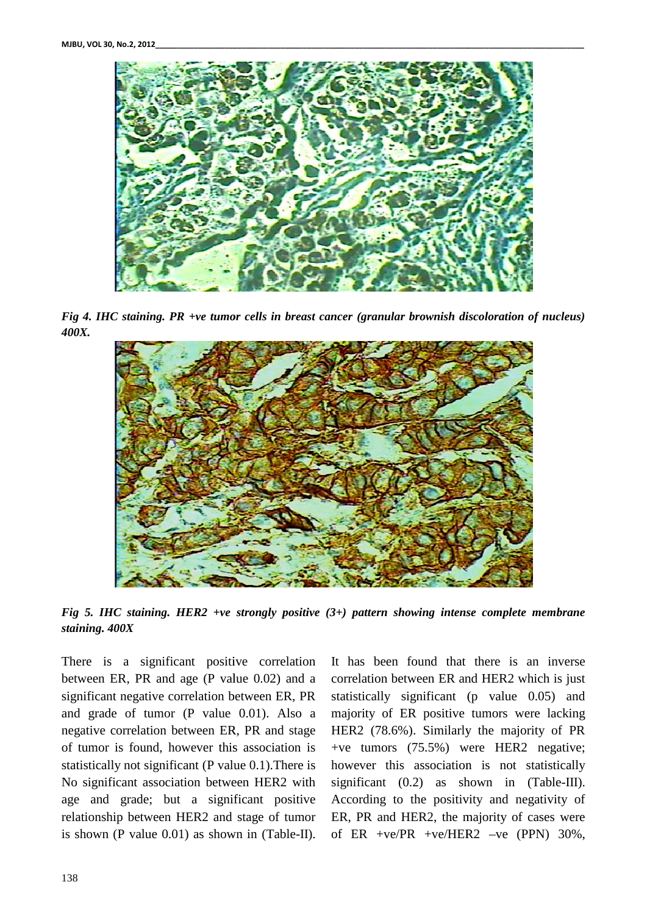

*Fig* 4. IHC staining. PR +ve tumor cells in breast cancer (granular brownish discoloration of nucleus) *400X.*



*Fig* 5. IHC staining. HER2 +ve strongly positive (3+) pattern showing intense complete membrane *staining. 400X*

There is a significant positive correlation There is a significant positive correlation It has between ER, PR and age (P value  $0.02$ ) and a corre significant negative correlation between ER, PR and grade of tumor (P value 0.01). Also a and grade of tumor (P value 0.01). Also a majo negative correlation between ER, PR and stage HER of tumor is found, however this association is statistically not significant (P value 0.1).There is No significant association between HER2 with age and grade; but a significant positive relationship between HER2 and stage of tumor is shown (P value 0.01) as shown in (Table-II).

It has been found that there is an inverse correlation between ER and HER2 which is just statistically significant (p value 0.05) and majority of ER positive tumors were lacking<br>HER2 (78.6%). Similarly the majority of PR<br>+ve tumors (75.5%) were HER2 negative; HER2 (78.6%). Similarly the majority of PR +ve tumors (75.5%) were HER2 negative; however this association is not statistically significant (0.2) as shown in (Table-III).<br>According to the positivity and negativity of<br>ER, PR and HER2, the majority of cases were<br>of ER +ve/PR +ve/HER2 -ve (PPN) 30%, According to the positivity and negativity of ER, PR and HER2, the majority of cases were of ER +ve/PR +ve/HER2 –ve (PPN) 30%, ere is a significant positive correlation It has been found that there is an inverse<br>ween ER, PR and age (P value 0.02) and a correlation between ER and HER2 which is just<br>nificant negative correlation between ER, PR stati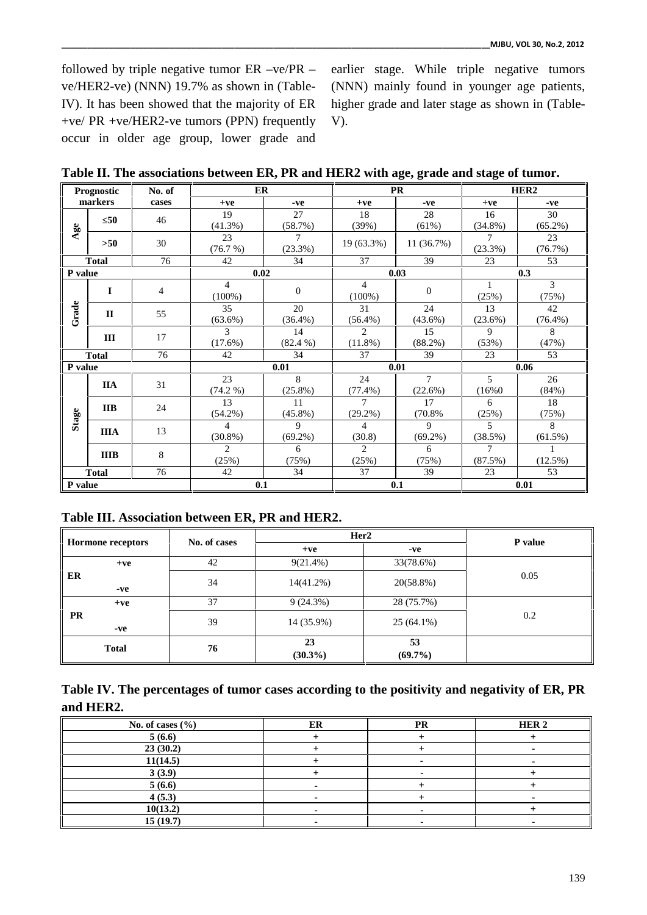followed by triple negative tumor ER –ve/PR – ve/HER2-ve) (NNN) 19.7% as shown in (Table-IV). It has been showed that the majority of ER +ve/ PR +ve/HER2-ve tumors (PPN) frequently occur in older age group, lower grade and

earlier stage. While triple negative tumors (NNN) mainly found in younger age patients, higher grade and later stage as shown in (Table- V).

**Table II. The associations between ER, PR and HER2 with age, grade and stage of tumor.**

| <b>Prognostic</b> |              | No. of | ER             |              |                | <b>PR</b>    | HER <sub>2</sub> |            |       |
|-------------------|--------------|--------|----------------|--------------|----------------|--------------|------------------|------------|-------|
|                   | markers      | cases  | $+ve$          | -ve          | $+ve$          | -ve          | $+ve$            | -ve        |       |
|                   | 50           | 46     | 19             | 27           | 18             | 28           | 16               | 30         |       |
| Age               |              |        | $(41.3\%)$     | (58.7%)      | (39%)          | (61%)        | $(34.8\%)$       | $(65.2\%)$ |       |
|                   | >50          | 30     | 23             | 7            | $19(63.3\%)$   | 11(36.7%)    | 7                | 23         |       |
|                   |              |        | (76.7%)        | (23.3%)      |                |              | (23.3%)          | (76.7%)    |       |
|                   | <b>Total</b> | 76     | 42             | 34           | 37             | 39           | 23               | 53         |       |
| P value           |              |        | 0.02           |              |                | 0.03         |                  | 0.3        |       |
|                   | $\mathbf I$  | 4      | $\overline{4}$ | $\mathbf{0}$ | $\overline{4}$ | $\mathbf{0}$ | 1                | 3          |       |
|                   |              |        | $(100\%)$      |              | $(100\%)$      |              | (25%)            | (75%)      |       |
| Grade             | $\mathbf{I}$ | 55     | 35             | 20           | 31             | 24           | 13               | 42         |       |
|                   |              |        | (63.6%)        | $(36.4\%)$   | $(56.4\%)$     | $(43.6\%)$   | (23.6%)          | $(76.4\%)$ |       |
|                   | III          | 17     | 3              | 14           | $\overline{2}$ | 15           | 9                | 8          |       |
|                   |              |        | $(17.6\%)$     | $(82.4\%)$   | $(11.8\%)$     | (88.2%)      | (53%)            | (47%)      |       |
|                   | <b>Total</b> | 76     | 42             | 34           | 37             | 39           | 23               | 53         |       |
| P value           |              |        | 0.01           |              | 0.01           |              | 0.06             |            |       |
|                   | <b>IIA</b>   | 31     | 23             | 8            | 24             | $\tau$       | 5                | 26         |       |
|                   |              |        | $(74.2\%)$     | $(25.8\%)$   | $(77.4\%)$     | (22.6%)      | (16%0)           | (84%)      |       |
|                   | <b>IIB</b>   | 24     | 13             | 11           | 7              | 17           | 6                | 18         |       |
| Stage             |              |        |                | $(54.2\%)$   | $(45.8\%)$     | $(29.2\%)$   | (70.8%           | (25%)      | (75%) |
|                   | <b>IIIA</b>  |        | 4              | 9            | 4              | 9            | 5                | 8          |       |
|                   |              | 13     | $(30.8\%)$     | $(69.2\%)$   | (30.8)         | $(69.2\%)$   | (38.5%)          | (61.5%)    |       |
|                   | <b>IIIB</b>  | 8      | $\overline{c}$ | 6            | $\overline{2}$ | 6            | 7                |            |       |
|                   |              |        | (25%)          | (75%)        | (25%)          | (75%)        | (87.5%)          | (12.5%)    |       |
|                   | <b>Total</b> | 76     | 42             | 34           | 37             | 39           | 23               | 53         |       |
| P value           |              |        |                | 0.1          |                | 0.1          |                  | 0.01       |       |

**Table III. Association between ER, PR and HER2.**

| Hormone receptors | No. of cases | Her <sub>2</sub> |                  | P value |
|-------------------|--------------|------------------|------------------|---------|
|                   |              | $+ve$            | -ve              |         |
| $+ve$             | 42           | $9(21.4\%)$      | 33(78.6%)        |         |
| ER<br>$-ve$       | 34           | $14(41.2\%)$     | 20(58.8%)        | 0.05    |
| $+ve$             | 37           | 9(24.3%)         | 28 (75.7%)       |         |
| PR<br>-ve         | 39           | 14 (35.9%)       | $25(64.1\%)$     | 0.2     |
| <b>Total</b>      | 76           | 23<br>$(30.3\%)$ | 53<br>$(69.7\%)$ |         |

**Table IV. The percentages of tumor cases according to the positivity and negativity of ER, PR and HER2.**

| No. of cases $(\% )$ | ER | PR | HER <sub>2</sub> |
|----------------------|----|----|------------------|
| 5(6.6)               |    |    |                  |
| 23(30.2)             |    |    |                  |
| 11(14.5)             |    |    |                  |
| 3(3.9)               |    |    |                  |
| 5(6.6)               |    |    |                  |
| 4(5.3)               |    |    |                  |
| 10(13.2)             |    |    |                  |
| 15(19.7)             |    |    |                  |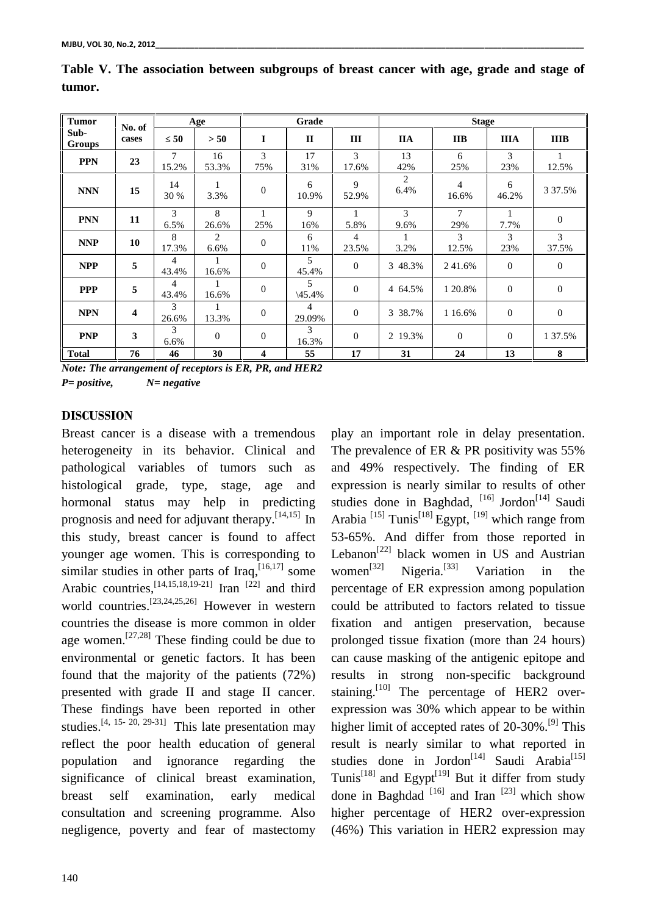| <b>Tumor</b>   | No. of                  |            | Age         | Grade            |                          | <b>Stage</b> |            |                         |              |              |
|----------------|-------------------------|------------|-------------|------------------|--------------------------|--------------|------------|-------------------------|--------------|--------------|
| Sub-<br>Groups | cases                   | 50         | > 50        | $\mathbf I$      | $\mathbf{I}$             | III          | <b>IIA</b> | <b>IIB</b>              | <b>IIIA</b>  | <b>IIIB</b>  |
| <b>PPN</b>     | 23                      | 7<br>15.2% | 16<br>53.3% | 3<br>75%         | 17<br>31%                | 3<br>17.6%   | 13<br>42%  | 6<br>25%                | 3<br>23%     | 12.5%        |
| <b>NNN</b>     | 15                      | 14<br>30 % | 3.3%        | $\mathbf{0}$     | 6<br>10.9%               | 9<br>52.9%   | 2<br>6.4%  | $\overline{4}$<br>16.6% | 6<br>46.2%   | 3 37.5%      |
| <b>PNN</b>     | 11                      | 3<br>6.5%  | 8<br>26.6%  | 25%              | 9<br>16%                 | 5.8%         | 3<br>9.6%  | 7<br>29%                | 7.7%         | $\Omega$     |
| <b>NNP</b>     | 10                      | 8<br>17.3% | 2<br>6.6%   | $\boldsymbol{0}$ | 6<br>11%                 | 4<br>23.5%   | 3.2%       | 3<br>12.5%              | 3<br>23%     | 3<br>37.5%   |
| <b>NPP</b>     | 5                       | 4<br>43.4% | 16.6%       | $\overline{0}$   | 5<br>45.4%               | $\Omega$     | 3 48.3%    | 241.6%                  | $\Omega$     | $\Omega$     |
| <b>PPP</b>     | 5                       | 4<br>43.4% | 1<br>16.6%  | $\overline{0}$   | 5<br>$\setminus$ 45.4%   | $\theta$     | 4 64.5%    | 1 20.8%                 | $\theta$     | $\mathbf{0}$ |
| <b>NPN</b>     | $\overline{\mathbf{4}}$ | 3<br>26.6% | 13.3%       | $\overline{0}$   | $\overline{4}$<br>29.09% | $\Omega$     | 3 38.7%    | 1 16.6%                 | $\Omega$     | $\theta$     |
| <b>PNP</b>     | $\mathbf{3}$            | 3<br>6.6%  | $\theta$    | $\boldsymbol{0}$ | 3<br>16.3%               | $\theta$     | 2 19.3%    | $\mathbf{0}$            | $\mathbf{0}$ | 1 37.5%      |
| <b>Total</b>   | 76                      | 46         | 30          | 4                | 55                       | 17           | 31         | 24                      | 13           | 8            |

**Table V. The association between subgroups of breast cancer with age, grade and stage of tumor.**

*Note: The arrangement of receptors is ER, PR, and HER2 P= positive, N= negative*

# **DISCUSSION**

Breast cancer is a disease with a tremendous heterogeneity in its behavior. Clinical and pathological variables of tumors such as histological grade, type, stage, age and hormonal status may help in predicting prognosis and need for adjuvant therapy.<sup>[14,15]</sup> In Arabia this study, breast cancer is found to affect younger age women. This is corresponding to similar studies in other parts of Iraq,  $[16, 17]$  some wom Arabic countries,  $[14, 15, 18, 19-21]$  Iran  $[22]$  and third percer world countries.<sup>[23,24,25,26]</sup> However in western could countries the disease is more common in older age women.<sup>[27,28]</sup> These finding could be due to prolor environmental or genetic factors. It has been found that the majority of the patients (72%) presented with grade II and stage II cancer. These findings have been reported in other studies.<sup>[4, 15- 20, 29-31]</sup> This late presentation may higher reflect the poor health education of general population and ignorance regarding the significance of clinical breast examination, breast self examination, early medical consultation and screening programme. Also negligence, poverty and fear of mastectomy

play an important role in delay presentation. The prevalence of ER & PR positivity was 55% and 49% respectively. The finding of ER expression is nearly similar to results of other studies done in Baghdad, <sup>[16]</sup> Jordon<sup>[14]</sup> Saudi Arabia <sup>[15]</sup> Tunis<sup>[18]</sup> Egypt, <sup>[19]</sup> which range from 53-65%. And differ from those reported in Lebanon<sup>[22]</sup> black women in US and Austrian women<sup>[32]</sup> Nigeria.<sup>[33]</sup> Variation in the percentage of ER expression among population could be attributed to factors related to tissue fixation and antigen preservation, because prolonged tissue fixation (more than 24 hours) can cause masking of the antigenic epitope and results in strong non-specific background staining.<sup>[10]</sup> The percentage of HER2 overexpression was 30% which appear to be within higher limit of accepted rates of 20-30%.<sup>[9]</sup> This result is nearly similar to what reported in studies done in Jordon<sup>[14]</sup> Saudi Arabia<sup>[15]</sup> Tunis<sup>[18]</sup> and Egypt<sup>[19]</sup> But it differ from study done in Baghdad  $[16]$  and Iran  $[23]$  which show higher percentage of HER2 over-expression (46%) This variation in HER2 expression may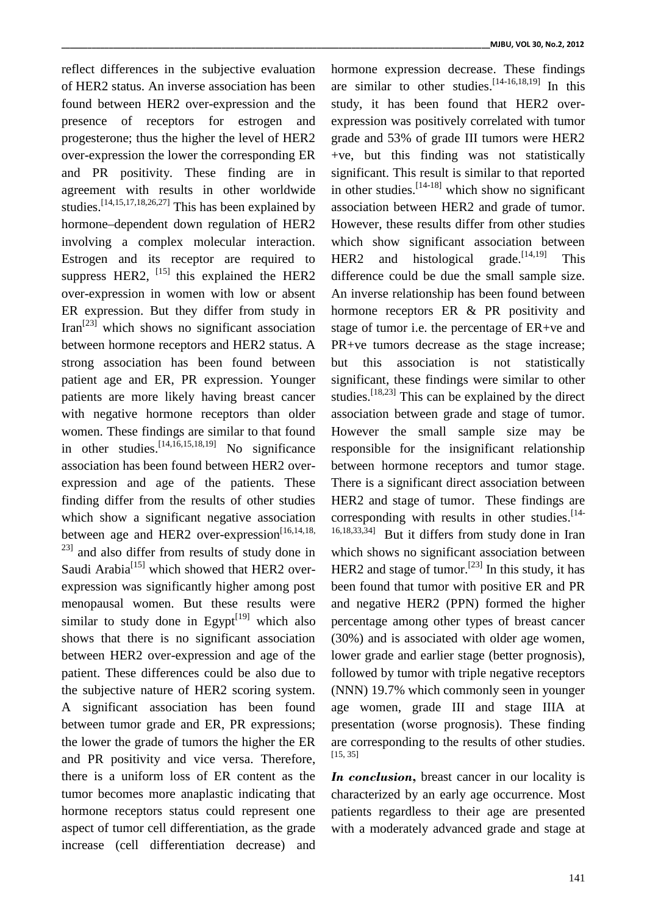reflect differences in the subjective evaluation of HER2 status. An inverse association has been found between HER2 over-expression and the presence of receptors for estrogen and progesterone; thus the higher the level of HER2 over-expression the lower the corresponding ER and PR positivity. These finding are in agreement with results in other worldwide studies.<sup>[14,15,17,18,26,27]</sup> This has been explained by associ hormone–dependent down regulation of HER2 involving a complex molecular interaction. Estrogen and its receptor are required to HER2 suppress HER2, <sup>[15]</sup> this explained the HER2 differe over-expression in women with low or absent ER expression. But they differ from study in  $\text{Tran}^{[23]}$  which shows no significant association between hormone receptors and HER2 status. A strong association has been found between patient age and ER, PR expression. Younger patients are more likely having breast cancer with negative hormone receptors than older women. These findings are similar to that found in other studies.  $[14, 16, 15, 18, 19]$  No significance respo association has been found between HER2 over expression and age of the patients. These finding differ from the results of other studies which show a significant negative association between age and HER2 over-expression<sup>[16,14,18,</sup>  $^{23}$ ] and also differ from results of study done in Saudi Arabia<sup>[15]</sup> which showed that HER2 overexpression was significantly higher among post menopausal women. But these results were similar to study done in Egypt $[19]$  which also shows that there is no significant association between HER2 over-expression and age of the patient. These differences could be also due to the subjective nature of HER2 scoring system. A significant association has been found between tumor grade and ER, PR expressions; the lower the grade of tumors the higher the ER and PR positivity and vice versa. Therefore, there is a uniform loss of ER content as the tumor becomes more anaplastic indicating that hormone receptors status could represent one aspect of tumor cell differentiation, as the grade increase (cell differentiation decrease) and

hormone expression decrease. These findings are similar to other studies.  $[14-16, 18, 19]$  In this study, it has been found that HER2 over expression was positively correlated with tumor grade and 53% of grade III tumors were HER2 +ve, but this finding was not statistically significant. This result is similar to that reported in other studies.  $[14-18]$  which show no significant association between HER2 and grade of tumor. However, these results differ from other studies which show significant association between and histological grade.<sup>[14,19]</sup> This difference could be due the small sample size. An inverse relationship has been found between hormone receptors ER & PR positivity and stage of tumor i.e. the percentage of ER+ve and PR+ve tumors decrease as the stage increase; but this association is not statistically significant, these findings were similar to other studies.<sup>[18,23]</sup> This can be explained by the direct association between grade and stage of tumor. However the small sample size may be responsible for the insignificant relationship between hormone receptors and tumor stage. There is a significant direct association between HER2 and stage of tumor. These findings are corresponding with results in other studies. [14- 16,18,33,34] But it differs from study done in Iran which shows no significant association between HER2 and stage of tumor.<sup>[23]</sup> In this study, it has been found that tumor with positive ER and PR and negative HER2 (PPN) formed the higher percentage among other types of breast cancer (30%) and is associated with older age women, lower grade and earlier stage (better prognosis), followed by tumor with triple negative receptors (NNN) 19.7% which commonly seen in younger age women, grade III and stage IIIA at presentation (worse prognosis). These finding

*In conclusion,* breast cancer in our locality is characterized by an early age occurrence. Most patients regardless to their age are presented with a moderately advanced grade and stage at

are corresponding to the results of other studies.

[15, 35]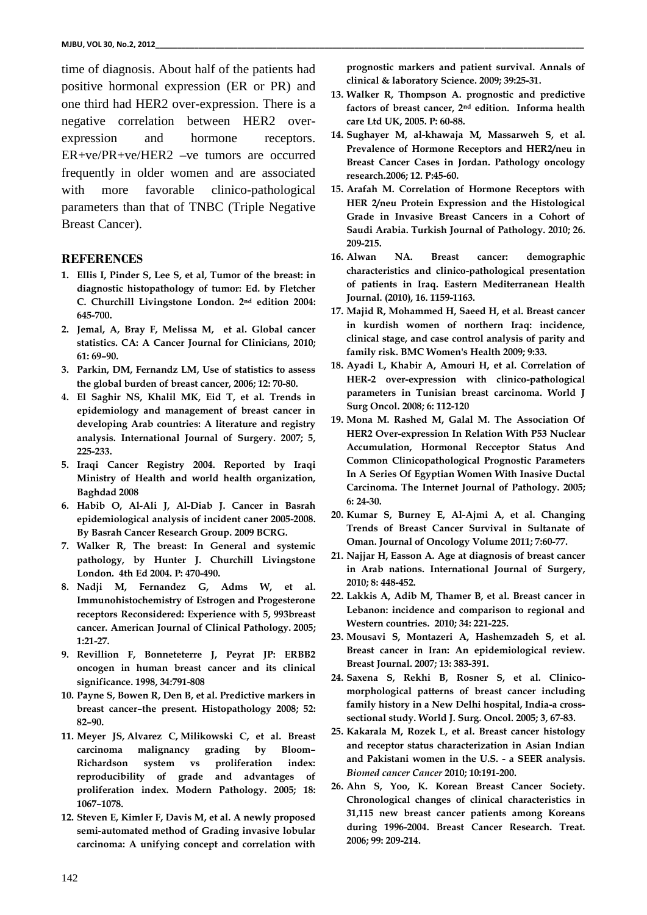time of diagnosis. About half of the patients had positive hormonal expression (ER or PR) and one third had HER2 over-expression. There is a negative correlation between HER2 over expression and hormone receptors. ER+ve/PR+ve/HER2 –ve tumors are occurred frequently in older women and are associated with more favorable clinico-pathological parameters than that of TNBC (Triple Negative Breast Cancer).

#### **REFERENCES**

- **1. Ellis I, Pinder S, Lee S, et al, Tumor of the breast: in diagnostic histopathology of tumor: Ed. by Fletcher C. Churchill Livingstone London. 2nd edition 2004: 645-700.**
- **2. Jemal, A, Bray F, Melissa M, et al. Global cancer statistics. CA: A Cancer Journal for Clinicians, 2010; 61: 69–90.**
- **3. Parkin, DM, Fernandz LM, Use of statistics to assess the global burden of breast cancer, 2006; 12: 70-80.**
- **4. El Saghir NS, Khalil MK, Eid T, et al. Trends in epidemiology and management of breast cancer in developing Arab countries: A literature and registry analysis. International Journal of Surgery. 2007; 5, 225-233.**
- **5. Iraqi Cancer Registry 2004. Reported by Iraqi Ministry of Health and world health organization, Baghdad 2008**
- **6. Habib O, Al-Ali J, Al-Diab J. Cancer in Basrah epidemiological analysis of incident caner 2005-2008. By Basrah Cancer Research Group. 2009 BCRG.**
- **7. Walker R, The breast: In General and systemic pathology, by Hunter J. Churchill Livingstone London. 4th Ed 2004. P: 470-490.**
- **8. Nadji M, Fernandez G, Adms W, et al. Immunohistochemistry of Estrogen and Progesterone receptors Reconsidered: Experience with 5, 993breast cancer. American Journal of Clinical Pathology. 2005; 1:21-27.**
- **9. Revillion F, Bonneteterre J, Peyrat JP: ERBB2 oncogen in human breast cancer and its clinical significance. 1998, 34:791-808**
- **10. Payne S, Bowen R, Den B, et al. Predictive markers in breast cancer–the present. Histopathology 2008; 52: 82–90.**
- **11. Meyer JS, Alvarez C, Milikowski C, et al. Breast carcinoma malignancy grading by Bloom– Richardson system vs proliferation index: reproducibility of grade and advantages of proliferation index. Modern Pathology. 2005; 18: 1067–1078.**
- **12. Steven E, Kimler F, Davis M, et al. A newly proposed semi-automated method of Grading invasive lobular carcinoma: A unifying concept and correlation with**

**prognostic markers and patient survival. Annals of clinical & laboratory Science. 2009; 39:25-31.**

- **13. Walker R, Thompson A. prognostic and predictive factors of breast cancer, 2nd edition. Informa health care Ltd UK, 2005. P: 60-88.**
- **14. Sughayer M, al-khawaja M, Massarweh S, et al. Prevalence of Hormone Receptors and HER2/neu in Breast Cancer Cases in Jordan. Pathology oncology research.2006; 12. P:45-60.**
- **15. Arafah M. Correlation of Hormone Receptors with HER 2/neu Protein Expression and the Histological Grade in Invasive Breast Cancers in a Cohort of Saudi Arabia. Turkish Journal of Pathology. 2010; 26. 209-215.**
- **16. Alwan NA. Breast cancer: demographic characteristics and clinico-pathological presentation of patients in Iraq. Eastern Mediterranean Health Journal. (2010), 16. 1159-1163.**
- **17. Majid R, Mohammed H, Saeed H, et al. Breast cancer in kurdish women of northern Iraq: incidence, clinical stage, and case control analysis of parity and family risk. BMC Women's Health 2009; 9:33.**
- **18. Ayadi L, Khabir A, Amouri H, et al. Correlation of HER-2 over-expression with clinico-pathological parameters in Tunisian breast carcinoma. World J Surg Oncol. 2008; 6: 112-120**
- **19. Mona M. Rashed M, Galal M. The Association Of HER2 Over-expression In Relation With P53 Nuclear Accumulation, Hormonal Recceptor Status And Common Clinicopathological Prognostic Parameters In A Series Of Egyptian Women With Inasive Ductal Carcinoma. The Internet Journal of Pathology. 2005; 6: 24-30.**
- **20. Kumar S, Burney E, Al-Ajmi A, et al. Changing Trends of Breast Cancer Survival in Sultanate of Oman. Journal of Oncology Volume 2011; 7:60-77.**
- **21. Najjar H, Easson A. Age at diagnosis of breast cancer in Arab nations. International Journal of Surgery, 2010; 8: 448-452.**
- **22. Lakkis A, Adib M, Thamer B, et al. Breast cancer in Lebanon: incidence and comparison to regional and Western countries. 2010; 34: 221-225.**
- **23. Mousavi S, Montazeri A, Hashemzadeh S, et al. Breast cancer in Iran: An epidemiological review. Breast Journal. 2007; 13: 383-391.**
- **24. Saxena S, Rekhi B, Rosner S, et al. Clinico morphological patterns of breast cancer including family history in a New Delhi hospital, India-a cross sectional study. World J. Surg. Oncol. 2005; 3, 67-83.**
- **25. Kakarala M, Rozek L, et al. Breast cancer histology and receptor status characterization in Asian Indian and Pakistani women in the U.S. - a SEER analysis.** *Biomed cancer Cancer* **2010; 10:191-200.**
- **26. Ahn S, Yoo, K. Korean Breast Cancer Society. Chronological changes of clinical characteristics in 31,115 new breast cancer patients among Koreans during 1996-2004. Breast Cancer Research. Treat. 2006; 99: 209-214.**